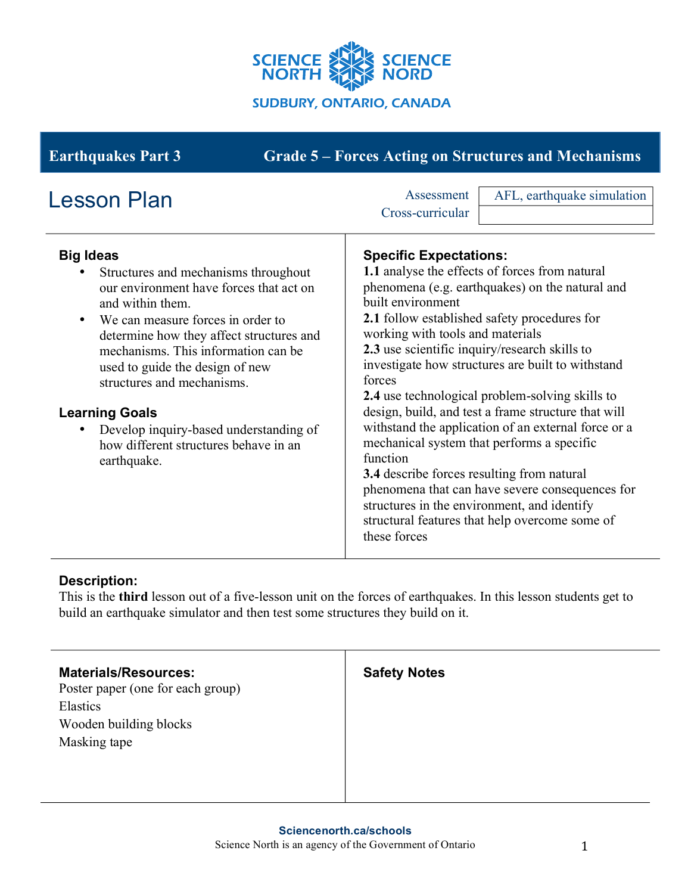

# **Earthquakes Part 3 Grade 5 – Forces Acting on Structures and Mechanisms**

| <b>Big Ideas</b><br><b>Specific Expectations:</b><br>1.1 analyse the effects of forces from natural<br>Structures and mechanisms throughout<br>phenomena (e.g. earthquakes) on the natural and<br>our environment have forces that act on<br>built environment<br>and within them.<br>2.1 follow established safety procedures for<br>We can measure forces in order to<br>working with tools and materials<br>determine how they affect structures and<br>2.3 use scientific inquiry/research skills to<br>mechanisms. This information can be                                                               | <b>Lesson Plan</b>              | AFL, earthquake simulation<br>Assessment<br>Cross-curricular |
|---------------------------------------------------------------------------------------------------------------------------------------------------------------------------------------------------------------------------------------------------------------------------------------------------------------------------------------------------------------------------------------------------------------------------------------------------------------------------------------------------------------------------------------------------------------------------------------------------------------|---------------------------------|--------------------------------------------------------------|
| forces<br>structures and mechanisms.<br>2.4 use technological problem-solving skills to<br>design, build, and test a frame structure that will<br><b>Learning Goals</b><br>with stand the application of an external force or a<br>Develop inquiry-based understanding of<br>mechanical system that performs a specific<br>how different structures behave in an<br>function<br>earthquake.<br>3.4 describe forces resulting from natural<br>phenomena that can have severe consequences for<br>structures in the environment, and identify<br>structural features that help overcome some of<br>these forces | used to guide the design of new | investigate how structures are built to withstand            |

## **Description:**

This is the **third** lesson out of a five-lesson unit on the forces of earthquakes. In this lesson students get to build an earthquake simulator and then test some structures they build on it.

| <b>Materials/Resources:</b><br>Poster paper (one for each group) | <b>Safety Notes</b> |
|------------------------------------------------------------------|---------------------|
| Elastics                                                         |                     |
| Wooden building blocks                                           |                     |
| Masking tape                                                     |                     |
|                                                                  |                     |
|                                                                  |                     |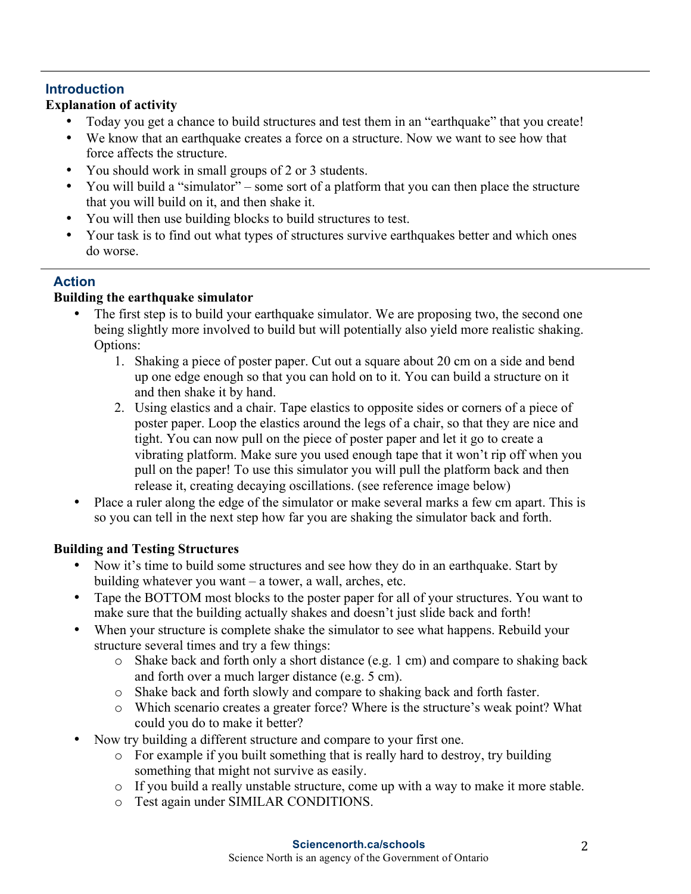# **Introduction**

# **Explanation of activity**

- Today you get a chance to build structures and test them in an "earthquake" that you create!
- We know that an earthquake creates a force on a structure. Now we want to see how that force affects the structure.
- You should work in small groups of 2 or 3 students.
- You will build a "simulator" some sort of a platform that you can then place the structure that you will build on it, and then shake it.
- You will then use building blocks to build structures to test.
- Your task is to find out what types of structures survive earthquakes better and which ones do worse.

# **Action**

# **Building the earthquake simulator**

- The first step is to build your earthquake simulator. We are proposing two, the second one being slightly more involved to build but will potentially also yield more realistic shaking. Options:
	- 1. Shaking a piece of poster paper. Cut out a square about 20 cm on a side and bend up one edge enough so that you can hold on to it. You can build a structure on it and then shake it by hand.
	- 2. Using elastics and a chair. Tape elastics to opposite sides or corners of a piece of poster paper. Loop the elastics around the legs of a chair, so that they are nice and tight. You can now pull on the piece of poster paper and let it go to create a vibrating platform. Make sure you used enough tape that it won't rip off when you pull on the paper! To use this simulator you will pull the platform back and then release it, creating decaying oscillations. (see reference image below)
- Place a ruler along the edge of the simulator or make several marks a few cm apart. This is so you can tell in the next step how far you are shaking the simulator back and forth.

# **Building and Testing Structures**

- Now it's time to build some structures and see how they do in an earthquake. Start by building whatever you want – a tower, a wall, arches, etc.
- Tape the BOTTOM most blocks to the poster paper for all of your structures. You want to make sure that the building actually shakes and doesn't just slide back and forth!
- When your structure is complete shake the simulator to see what happens. Rebuild your structure several times and try a few things:
	- o Shake back and forth only a short distance (e.g. 1 cm) and compare to shaking back and forth over a much larger distance (e.g. 5 cm).
	- o Shake back and forth slowly and compare to shaking back and forth faster.
	- o Which scenario creates a greater force? Where is the structure's weak point? What could you do to make it better?
- Now try building a different structure and compare to your first one.
	- o For example if you built something that is really hard to destroy, try building something that might not survive as easily.
	- o If you build a really unstable structure, come up with a way to make it more stable.
	- o Test again under SIMILAR CONDITIONS.